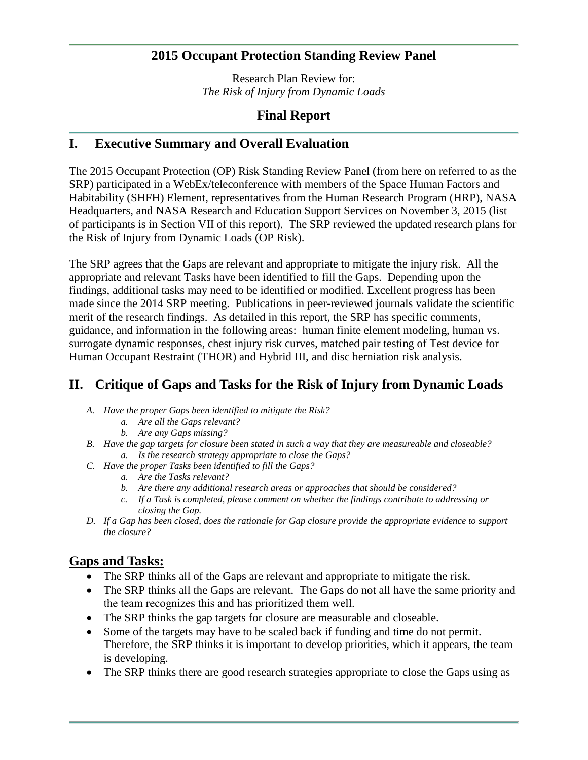## **2015 Occupant Protection Standing Review Panel**

Research Plan Review for: *The Risk of Injury from Dynamic Loads*

## **Final Report**

## **I. Executive Summary and Overall Evaluation**

The 2015 Occupant Protection (OP) Risk Standing Review Panel (from here on referred to as the SRP) participated in a WebEx/teleconference with members of the Space Human Factors and Habitability (SHFH) Element, representatives from the Human Research Program (HRP), NASA Headquarters, and NASA Research and Education Support Services on November 3, 2015 (list of participants is in Section VII of this report). The SRP reviewed the updated research plans for the Risk of Injury from Dynamic Loads (OP Risk).

The SRP agrees that the Gaps are relevant and appropriate to mitigate the injury risk. All the appropriate and relevant Tasks have been identified to fill the Gaps. Depending upon the findings, additional tasks may need to be identified or modified. Excellent progress has been made since the 2014 SRP meeting. Publications in peer-reviewed journals validate the scientific merit of the research findings. As detailed in this report, the SRP has specific comments, guidance, and information in the following areas: human finite element modeling, human vs. surrogate dynamic responses, chest injury risk curves, matched pair testing of Test device for Human Occupant Restraint (THOR) and Hybrid III, and disc herniation risk analysis.

## **II. Critique of Gaps and Tasks for the Risk of Injury from Dynamic Loads**

- *A. Have the proper Gaps been identified to mitigate the Risk?*
	- *a. Are all the Gaps relevant?*
	- *b. Are any Gaps missing?*
- *B. Have the gap targets for closure been stated in such a way that they are measureable and closeable? a. Is the research strategy appropriate to close the Gaps?*
- *C. Have the proper Tasks been identified to fill the Gaps?*
	- *a. Are the Tasks relevant?*
	- *b. Are there any additional research areas or approaches that should be considered?*
	- *c. If a Task is completed, please comment on whether the findings contribute to addressing or closing the Gap.*
- *D. If a Gap has been closed, does the rationale for Gap closure provide the appropriate evidence to support the closure?*

## **Gaps and Tasks:**

- The SRP thinks all of the Gaps are relevant and appropriate to mitigate the risk.
- The SRP thinks all the Gaps are relevant. The Gaps do not all have the same priority and the team recognizes this and has prioritized them well.
- The SRP thinks the gap targets for closure are measurable and closeable.
- Some of the targets may have to be scaled back if funding and time do not permit. Therefore, the SRP thinks it is important to develop priorities, which it appears, the team is developing.
- The SRP thinks there are good research strategies appropriate to close the Gaps using as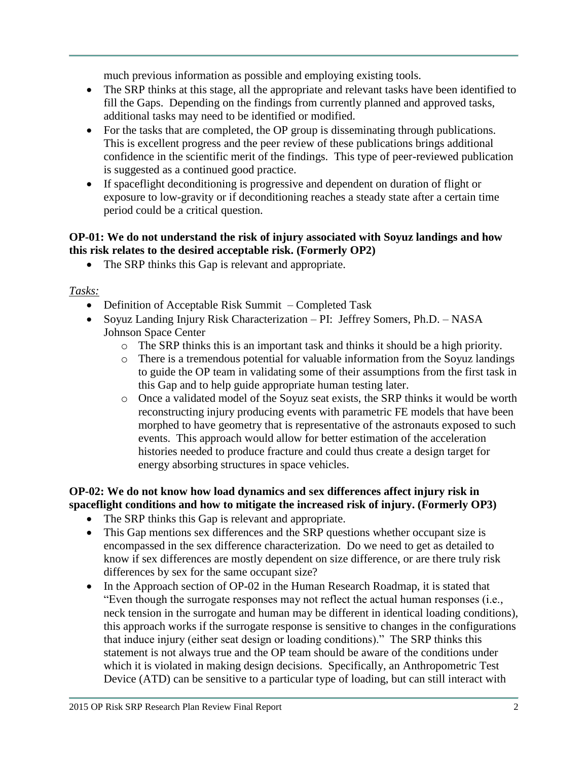much previous information as possible and employing existing tools.

- The SRP thinks at this stage, all the appropriate and relevant tasks have been identified to fill the Gaps. Depending on the findings from currently planned and approved tasks, additional tasks may need to be identified or modified.
- For the tasks that are completed, the OP group is disseminating through publications. This is excellent progress and the peer review of these publications brings additional confidence in the scientific merit of the findings. This type of peer-reviewed publication is suggested as a continued good practice.
- If spaceflight deconditioning is progressive and dependent on duration of flight or exposure to low-gravity or if deconditioning reaches a steady state after a certain time period could be a critical question.

### **OP-01: We do not understand the risk of injury associated with Soyuz landings and how this risk relates to the desired acceptable risk. (Formerly OP2)**

• The SRP thinks this Gap is relevant and appropriate.

*Tasks:*

- Definition of Acceptable Risk Summit Completed Task
- Soyuz Landing Injury Risk Characterization PI: Jeffrey Somers, Ph.D. NASA Johnson Space Center
	- o The SRP thinks this is an important task and thinks it should be a high priority.
	- o There is a tremendous potential for valuable information from the Soyuz landings to guide the OP team in validating some of their assumptions from the first task in this Gap and to help guide appropriate human testing later.
	- o Once a validated model of the Soyuz seat exists, the SRP thinks it would be worth reconstructing injury producing events with parametric FE models that have been morphed to have geometry that is representative of the astronauts exposed to such events. This approach would allow for better estimation of the acceleration histories needed to produce fracture and could thus create a design target for energy absorbing structures in space vehicles.

## **OP-02: We do not know how load dynamics and sex differences affect injury risk in spaceflight conditions and how to mitigate the increased risk of injury. (Formerly OP3)**

- The SRP thinks this Gap is relevant and appropriate.
- This Gap mentions sex differences and the SRP questions whether occupant size is encompassed in the sex difference characterization. Do we need to get as detailed to know if sex differences are mostly dependent on size difference, or are there truly risk differences by sex for the same occupant size?
- In the Approach section of OP-02 in the Human Research Roadmap, it is stated that "Even though the surrogate responses may not reflect the actual human responses (i.e., neck tension in the surrogate and human may be different in identical loading conditions), this approach works if the surrogate response is sensitive to changes in the configurations that induce injury (either seat design or loading conditions)." The SRP thinks this statement is not always true and the OP team should be aware of the conditions under which it is violated in making design decisions. Specifically, an Anthropometric Test Device (ATD) can be sensitive to a particular type of loading, but can still interact with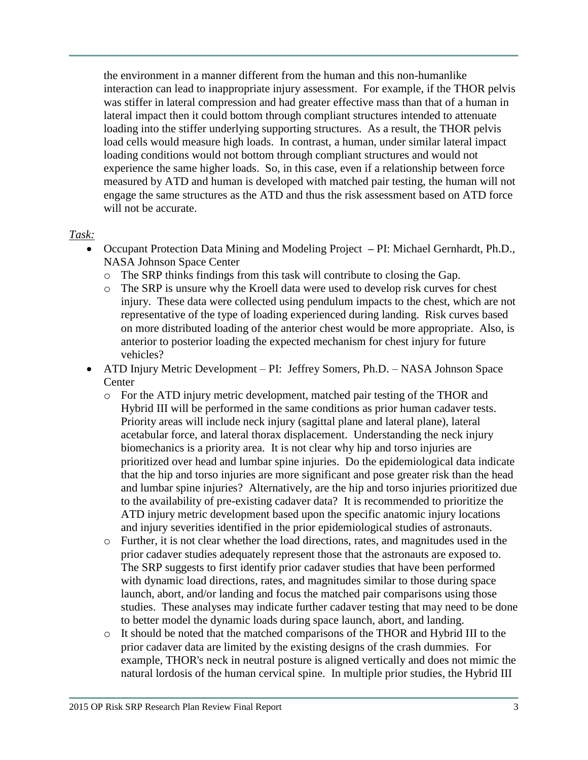the environment in a manner different from the human and this non-humanlike interaction can lead to inappropriate injury assessment. For example, if the THOR pelvis was stiffer in lateral compression and had greater effective mass than that of a human in lateral impact then it could bottom through compliant structures intended to attenuate loading into the stiffer underlying supporting structures. As a result, the THOR pelvis load cells would measure high loads. In contrast, a human, under similar lateral impact loading conditions would not bottom through compliant structures and would not experience the same higher loads. So, in this case, even if a relationship between force measured by ATD and human is developed with matched pair testing, the human will not engage the same structures as the ATD and thus the risk assessment based on ATD force will not be accurate.

### *Task:*

- Occupant Protection Data Mining and Modeling Project **–** PI: Michael Gernhardt, Ph.D., NASA Johnson Space Center
	- o The SRP thinks findings from this task will contribute to closing the Gap.
	- o The SRP is unsure why the Kroell data were used to develop risk curves for chest injury. These data were collected using pendulum impacts to the chest, which are not representative of the type of loading experienced during landing. Risk curves based on more distributed loading of the anterior chest would be more appropriate. Also, is anterior to posterior loading the expected mechanism for chest injury for future vehicles?
- ATD Injury Metric Development PI: Jeffrey Somers, Ph.D. NASA Johnson Space **Center** 
	- o For the ATD injury metric development, matched pair testing of the THOR and Hybrid III will be performed in the same conditions as prior human cadaver tests. Priority areas will include neck injury (sagittal plane and lateral plane), lateral acetabular force, and lateral thorax displacement. Understanding the neck injury biomechanics is a priority area. It is not clear why hip and torso injuries are prioritized over head and lumbar spine injuries. Do the epidemiological data indicate that the hip and torso injuries are more significant and pose greater risk than the head and lumbar spine injuries? Alternatively, are the hip and torso injuries prioritized due to the availability of pre-existing cadaver data? It is recommended to prioritize the ATD injury metric development based upon the specific anatomic injury locations and injury severities identified in the prior epidemiological studies of astronauts.
	- o Further, it is not clear whether the load directions, rates, and magnitudes used in the prior cadaver studies adequately represent those that the astronauts are exposed to. The SRP suggests to first identify prior cadaver studies that have been performed with dynamic load directions, rates, and magnitudes similar to those during space launch, abort, and/or landing and focus the matched pair comparisons using those studies. These analyses may indicate further cadaver testing that may need to be done to better model the dynamic loads during space launch, abort, and landing.
	- o It should be noted that the matched comparisons of the THOR and Hybrid III to the prior cadaver data are limited by the existing designs of the crash dummies. For example, THOR's neck in neutral posture is aligned vertically and does not mimic the natural lordosis of the human cervical spine. In multiple prior studies, the Hybrid III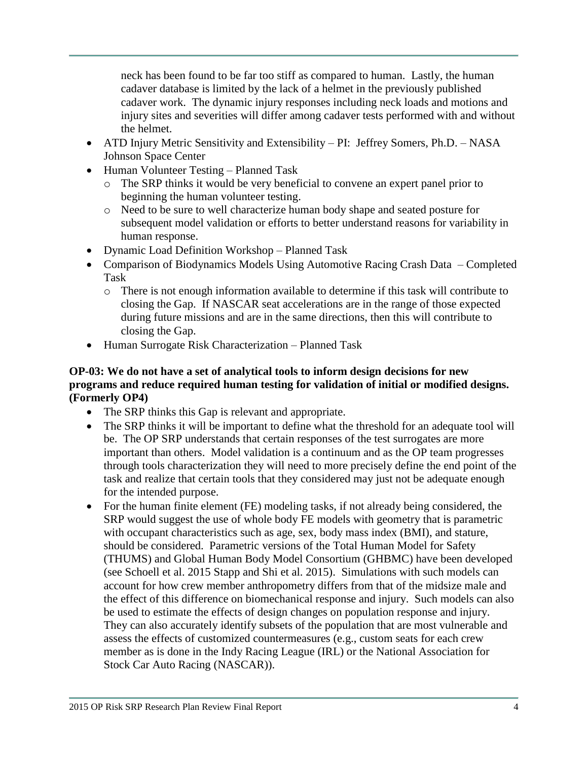neck has been found to be far too stiff as compared to human. Lastly, the human cadaver database is limited by the lack of a helmet in the previously published cadaver work. The dynamic injury responses including neck loads and motions and injury sites and severities will differ among cadaver tests performed with and without the helmet.

- ATD Injury Metric Sensitivity and Extensibility PI: Jeffrey Somers, Ph.D. NASA Johnson Space Center
- Human Volunteer Testing Planned Task
	- o The SRP thinks it would be very beneficial to convene an expert panel prior to beginning the human volunteer testing.
	- o Need to be sure to well characterize human body shape and seated posture for subsequent model validation or efforts to better understand reasons for variability in human response.
- Dynamic Load Definition Workshop Planned Task
- Comparison of Biodynamics Models Using Automotive Racing Crash Data Completed Task
	- o There is not enough information available to determine if this task will contribute to closing the Gap. If NASCAR seat accelerations are in the range of those expected during future missions and are in the same directions, then this will contribute to closing the Gap.
- Human Surrogate Risk Characterization Planned Task

### **OP-03: We do not have a set of analytical tools to inform design decisions for new programs and reduce required human testing for validation of initial or modified designs. (Formerly OP4)**

- The SRP thinks this Gap is relevant and appropriate.
- The SRP thinks it will be important to define what the threshold for an adequate tool will be. The OP SRP understands that certain responses of the test surrogates are more important than others. Model validation is a continuum and as the OP team progresses through tools characterization they will need to more precisely define the end point of the task and realize that certain tools that they considered may just not be adequate enough for the intended purpose.
- For the human finite element (FE) modeling tasks, if not already being considered, the SRP would suggest the use of whole body FE models with geometry that is parametric with occupant characteristics such as age, sex, body mass index (BMI), and stature, should be considered. Parametric versions of the Total Human Model for Safety (THUMS) and Global Human Body Model Consortium (GHBMC) have been developed (see Schoell et al. 2015 Stapp and Shi et al. 2015). Simulations with such models can account for how crew member anthropometry differs from that of the midsize male and the effect of this difference on biomechanical response and injury. Such models can also be used to estimate the effects of design changes on population response and injury. They can also accurately identify subsets of the population that are most vulnerable and assess the effects of customized countermeasures (e.g., custom seats for each crew member as is done in the Indy Racing League (IRL) or the National Association for Stock Car Auto Racing (NASCAR)).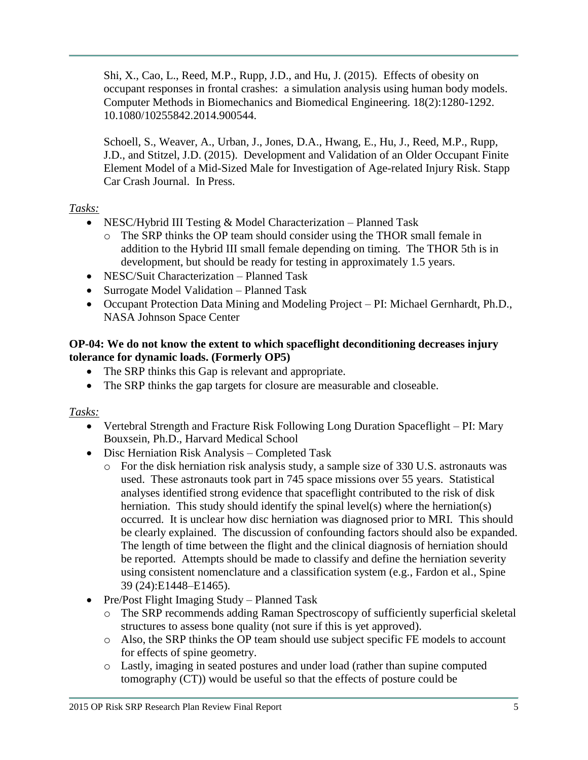Shi, X., Cao, L., Reed, M.P., Rupp, J.D., and Hu, J. (2015). Effects of obesity on occupant responses in frontal crashes: a simulation analysis using human body models. Computer Methods in Biomechanics and Biomedical Engineering. 18(2):1280-1292. 10.1080/10255842.2014.900544.

Schoell, S., Weaver, A., Urban, J., Jones, D.A., Hwang, E., Hu, J., Reed, M.P., Rupp, J.D., and Stitzel, J.D. (2015). Development and Validation of an Older Occupant Finite Element Model of a Mid-Sized Male for Investigation of Age-related Injury Risk. Stapp Car Crash Journal. In Press.

## *Tasks:*

- NESC/Hybrid III Testing & Model Characterization Planned Task
	- o The SRP thinks the OP team should consider using the THOR small female in addition to the Hybrid III small female depending on timing. The THOR 5th is in development, but should be ready for testing in approximately 1.5 years.
- NESC/Suit Characterization Planned Task
- Surrogate Model Validation Planned Task
- Occupant Protection Data Mining and Modeling Project PI: Michael Gernhardt, Ph.D., NASA Johnson Space Center

## **OP-04: We do not know the extent to which spaceflight deconditioning decreases injury tolerance for dynamic loads. (Formerly OP5)**

- The SRP thinks this Gap is relevant and appropriate.
- The SRP thinks the gap targets for closure are measurable and closeable.

## *Tasks:*

- Vertebral Strength and Fracture Risk Following Long Duration Spaceflight PI: Mary Bouxsein, Ph.D., Harvard Medical School
- Disc Herniation Risk Analysis Completed Task
	- o For the disk herniation risk analysis study, a sample size of 330 U.S. astronauts was used. These astronauts took part in 745 space missions over 55 years. Statistical analyses identified strong evidence that spaceflight contributed to the risk of disk herniation. This study should identify the spinal level(s) where the herniation(s) occurred. It is unclear how disc herniation was diagnosed prior to MRI. This should be clearly explained. The discussion of confounding factors should also be expanded. The length of time between the flight and the clinical diagnosis of herniation should be reported. Attempts should be made to classify and define the herniation severity using consistent nomenclature and a classification system (e.g., Fardon et al., Spine 39 (24):E1448–E1465).
- Pre/Post Flight Imaging Study Planned Task
	- o The SRP recommends adding Raman Spectroscopy of sufficiently superficial skeletal structures to assess bone quality (not sure if this is yet approved).
	- o Also, the SRP thinks the OP team should use subject specific FE models to account for effects of spine geometry.
	- o Lastly, imaging in seated postures and under load (rather than supine computed tomography (CT)) would be useful so that the effects of posture could be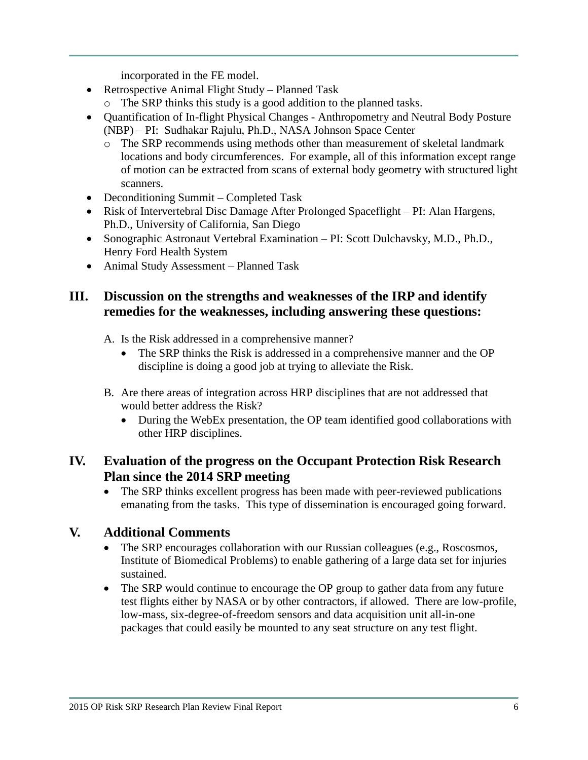incorporated in the FE model.

- Retrospective Animal Flight Study Planned Task
	- o The SRP thinks this study is a good addition to the planned tasks.
- Quantification of In-flight Physical Changes Anthropometry and Neutral Body Posture (NBP) – PI: Sudhakar Rajulu, Ph.D., NASA Johnson Space Center
	- o The SRP recommends using methods other than measurement of skeletal landmark locations and body circumferences. For example, all of this information except range of motion can be extracted from scans of external body geometry with structured light scanners.
- Deconditioning Summit Completed Task
- Risk of Intervertebral Disc Damage After Prolonged Spaceflight PI: Alan Hargens, Ph.D., University of California, San Diego
- Sonographic Astronaut Vertebral Examination PI: Scott Dulchavsky, M.D., Ph.D., Henry Ford Health System
- Animal Study Assessment Planned Task

# **III. Discussion on the strengths and weaknesses of the IRP and identify remedies for the weaknesses, including answering these questions:**

- A. Is the Risk addressed in a comprehensive manner?
	- The SRP thinks the Risk is addressed in a comprehensive manner and the OP discipline is doing a good job at trying to alleviate the Risk.
- B. Are there areas of integration across HRP disciplines that are not addressed that would better address the Risk?
	- During the WebEx presentation, the OP team identified good collaborations with other HRP disciplines.

# **IV. Evaluation of the progress on the Occupant Protection Risk Research Plan since the 2014 SRP meeting**

• The SRP thinks excellent progress has been made with peer-reviewed publications emanating from the tasks. This type of dissemination is encouraged going forward.

# **V. Additional Comments**

- The SRP encourages collaboration with our Russian colleagues (e.g., Roscosmos, Institute of Biomedical Problems) to enable gathering of a large data set for injuries sustained.
- The SRP would continue to encourage the OP group to gather data from any future test flights either by NASA or by other contractors, if allowed. There are low-profile, low-mass, six-degree-of-freedom sensors and data acquisition unit all-in-one packages that could easily be mounted to any seat structure on any test flight.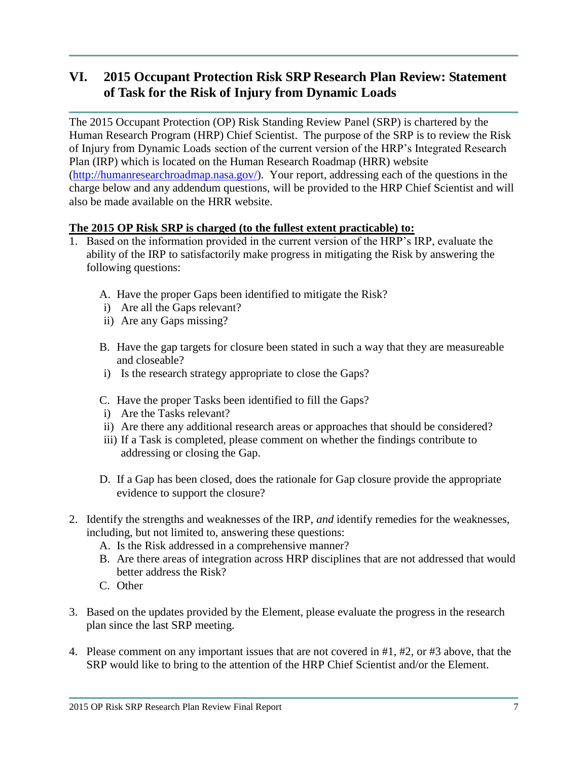# **VI. 2015 Occupant Protection Risk SRP Research Plan Review: Statement of Task for the Risk of Injury from Dynamic Loads**

The 2015 Occupant Protection (OP) Risk Standing Review Panel (SRP) is chartered by the Human Research Program (HRP) Chief Scientist. The purpose of the SRP is to review the Risk of Injury from Dynamic Loads section of the current version of the HRP's Integrated Research Plan (IRP) which is located on the Human Research Roadmap (HRR) website [\(http://humanresearchroadmap.nasa.gov/\)](http://humanresearchroadmap.nasa.gov/). Your report, addressing each of the questions in the charge below and any addendum questions, will be provided to the HRP Chief Scientist and will also be made available on the HRR website.

### **The 2015 OP Risk SRP is charged (to the fullest extent practicable) to:**

- 1. Based on the information provided in the current version of the HRP's IRP, evaluate the ability of the IRP to satisfactorily make progress in mitigating the Risk by answering the following questions:
	- A. Have the proper Gaps been identified to mitigate the Risk?
	- i) Are all the Gaps relevant?
	- ii) Are any Gaps missing?
	- B. Have the gap targets for closure been stated in such a way that they are measureable and closeable?
	- i) Is the research strategy appropriate to close the Gaps?
	- C. Have the proper Tasks been identified to fill the Gaps?
	- i) Are the Tasks relevant?
	- ii) Are there any additional research areas or approaches that should be considered?
	- iii) If a Task is completed, please comment on whether the findings contribute to addressing or closing the Gap.
	- D. If a Gap has been closed, does the rationale for Gap closure provide the appropriate evidence to support the closure?
- 2. Identify the strengths and weaknesses of the IRP, *and* identify remedies for the weaknesses, including, but not limited to, answering these questions:
	- A. Is the Risk addressed in a comprehensive manner?
	- B. Are there areas of integration across HRP disciplines that are not addressed that would better address the Risk?
	- C. Other
- 3. Based on the updates provided by the Element, please evaluate the progress in the research plan since the last SRP meeting.
- 4. Please comment on any important issues that are not covered in #1, #2, or #3 above, that the SRP would like to bring to the attention of the HRP Chief Scientist and/or the Element.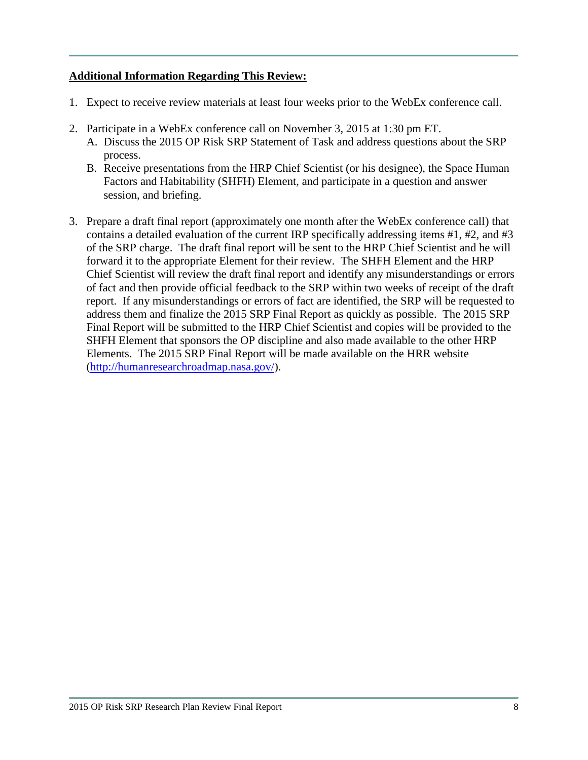### **Additional Information Regarding This Review:**

- 1. Expect to receive review materials at least four weeks prior to the WebEx conference call.
- 2. Participate in a WebEx conference call on November 3, 2015 at 1:30 pm ET.
	- A. Discuss the 2015 OP Risk SRP Statement of Task and address questions about the SRP process.
	- B. Receive presentations from the HRP Chief Scientist (or his designee), the Space Human Factors and Habitability (SHFH) Element, and participate in a question and answer session, and briefing.
- 3. Prepare a draft final report (approximately one month after the WebEx conference call) that contains a detailed evaluation of the current IRP specifically addressing items #1, #2, and #3 of the SRP charge. The draft final report will be sent to the HRP Chief Scientist and he will forward it to the appropriate Element for their review. The SHFH Element and the HRP Chief Scientist will review the draft final report and identify any misunderstandings or errors of fact and then provide official feedback to the SRP within two weeks of receipt of the draft report. If any misunderstandings or errors of fact are identified, the SRP will be requested to address them and finalize the 2015 SRP Final Report as quickly as possible. The 2015 SRP Final Report will be submitted to the HRP Chief Scientist and copies will be provided to the SHFH Element that sponsors the OP discipline and also made available to the other HRP Elements. The 2015 SRP Final Report will be made available on the HRR website [\(http://humanresearchroadmap.nasa.gov/\)](http://humanresearchroadmap.nasa.gov/).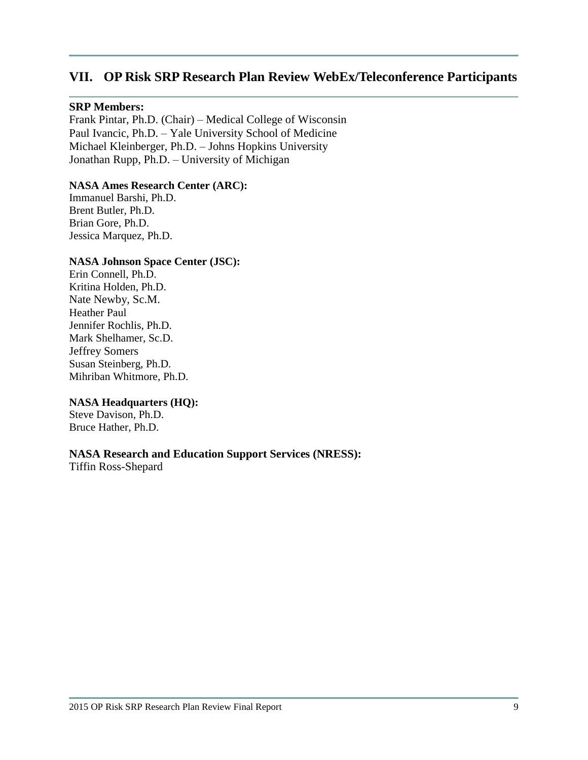# **VII. OP Risk SRP Research Plan Review WebEx/Teleconference Participants**

#### **SRP Members:**

Frank Pintar, Ph.D. (Chair) – Medical College of Wisconsin Paul Ivancic, Ph.D. – Yale University School of Medicine Michael Kleinberger, Ph.D. – Johns Hopkins University Jonathan Rupp, Ph.D. – University of Michigan

#### **NASA Ames Research Center (ARC):**

Immanuel Barshi, Ph.D. Brent Butler, Ph.D. Brian Gore, Ph.D. Jessica Marquez, Ph.D.

#### **NASA Johnson Space Center (JSC):**

Erin Connell, Ph.D. Kritina Holden, Ph.D. Nate Newby, Sc.M. Heather Paul Jennifer Rochlis, Ph.D. Mark Shelhamer, Sc.D. Jeffrey Somers Susan Steinberg, Ph.D. Mihriban Whitmore, Ph.D.

#### **NASA Headquarters (HQ):**

Steve Davison, Ph.D. Bruce Hather, Ph.D.

### **NASA Research and Education Support Services (NRESS):**

Tiffin Ross-Shepard